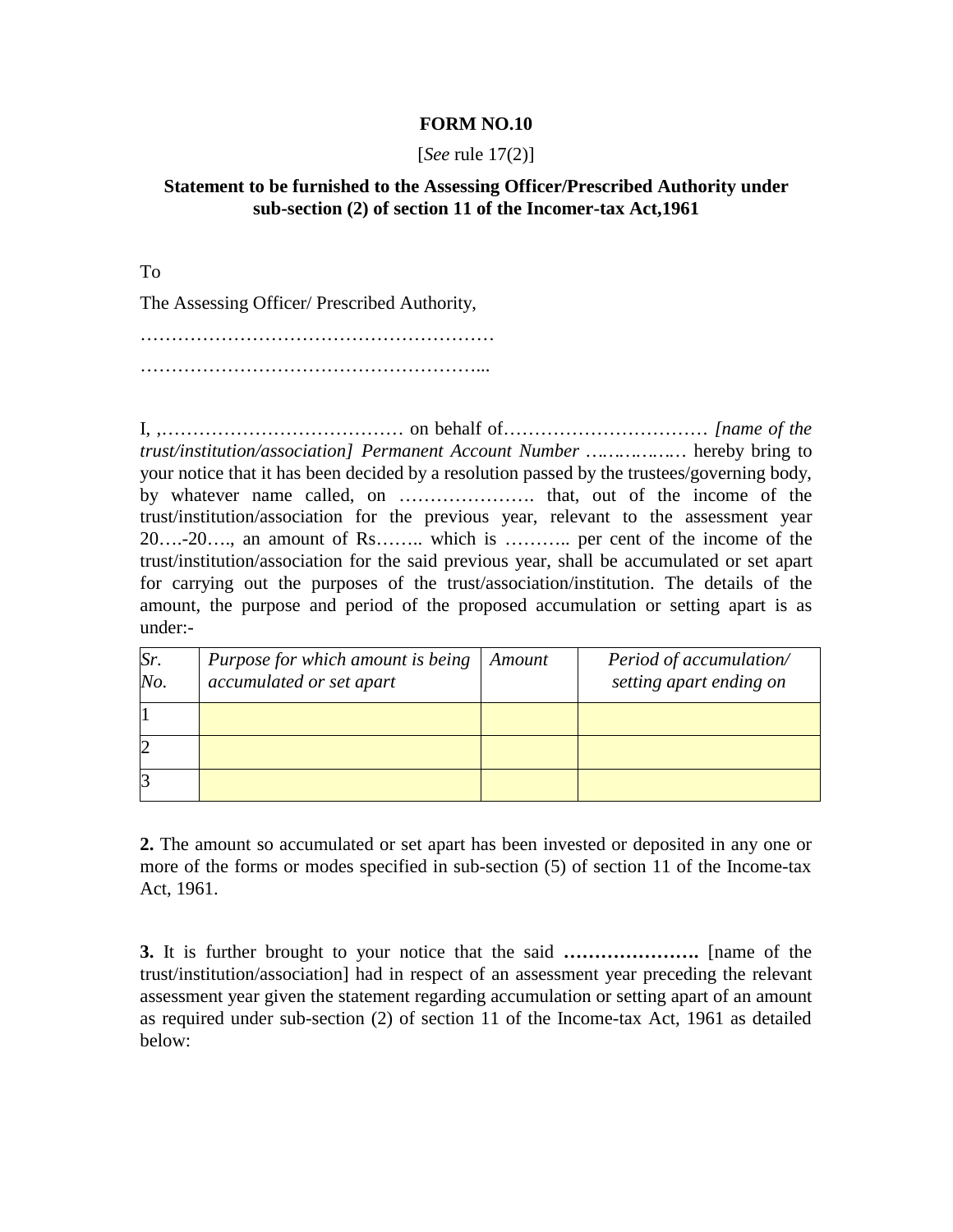## **FORM NO.10**

## [*See* rule 17(2)]

## **Statement to be furnished to the Assessing Officer/Prescribed Authority under sub-section (2) of section 11 of the Incomer-tax Act,1961**

To

The Assessing Officer/ Prescribed Authority,

………………………………………………… ………………………………………………...

I, ,………………………………… on behalf of…………………………… *[name of the trust/institution/association] Permanent Account Number ………………* hereby bring to your notice that it has been decided by a resolution passed by the trustees/governing body, by whatever name called, on …………………. that, out of the income of the trust/institution/association for the previous year, relevant to the assessment year 20….-20…., an amount of Rs…….. which is ……….. per cent of the income of the trust/institution/association for the said previous year, shall be accumulated or set apart for carrying out the purposes of the trust/association/institution. The details of the amount, the purpose and period of the proposed accumulation or setting apart is as under:-

| Sr.<br>No. | Purpose for which amount is being<br>accumulated or set apart | Amount | Period of accumulation/<br>setting apart ending on |
|------------|---------------------------------------------------------------|--------|----------------------------------------------------|
|            |                                                               |        |                                                    |
|            |                                                               |        |                                                    |
|            |                                                               |        |                                                    |

**2.** The amount so accumulated or set apart has been invested or deposited in any one or more of the forms or modes specified in sub-section (5) of section 11 of the Income-tax Act, 1961.

**3.** It is further brought to your notice that the said **………………….** [name of the trust/institution/association] had in respect of an assessment year preceding the relevant assessment year given the statement regarding accumulation or setting apart of an amount as required under sub-section (2) of section 11 of the Income-tax Act, 1961 as detailed below: